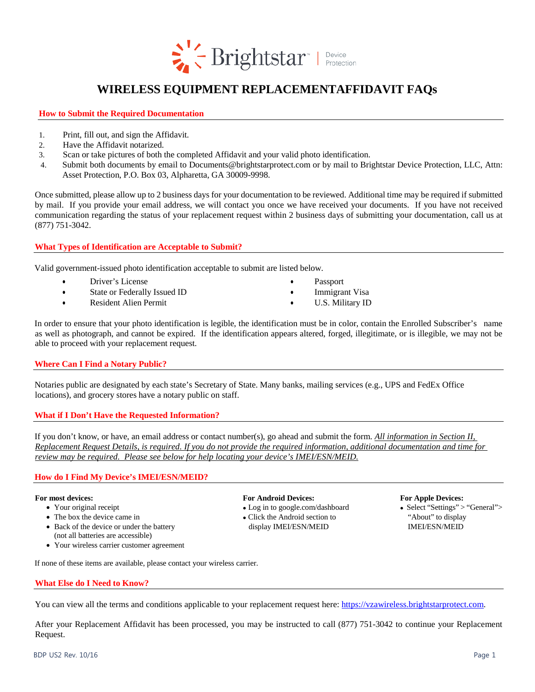

# **WIRELESS EQUIPMENT REPLACEMENTAFFIDAVIT FAQs**

**How to Submit the Required Documentation**

- 1. Print, fill out, and sign the Affidavit.
- 2. Have the Affidavit notarized.
- 3. Scan or take pictures of both the completed Affidavit and your valid photo identification.
- 4. Submit both documents by email to Documents@brightstarprotect.com or by mail to Brightstar Device Protection, LLC, Attn: Asset Protection, P.O. Box 03, Alpharetta, GA 30009-9998.

Once submitted, please allow up to 2 business days for your documentation to be reviewed. Additional time may be required if submitted by mail. If you provide your email address, we will contact you once we have received your documents. If you have not received communication regarding the status of your replacement request within 2 business days of submitting your documentation, call us at (877) 751-3042.

# **What Types of Identification are Acceptable to Submit?**

Valid government-issued photo identification acceptable to submit are listed below.

- Driver's License
- State or Federally Issued ID
- Resident Alien Permit
- Passport
- **Immigrant Visa**
- U.S. Military ID

In order to ensure that your photo identification is legible, the identification must be in color, contain the Enrolled Subscriber's name as well as photograph, and cannot be expired. If the identification appears altered, forged, illegitimate, or is illegible, we may not be able to proceed with your replacement request.

# **Where Can I Find a Notary Public?**

Notaries public are designated by each state's Secretary of State. Many banks, mailing services (e.g., UPS and FedEx Office locations), and grocery stores have a notary public on staff.

# **What if I Don't Have the Requested Information?**

If you don't know, or have, an email address or contact number(s), go ahead and submit the form. *All information in Section II, Replacement Request Details, is required. If you do not provide the required information, additional documentation and time for review may be required. Please see below for help locating your device's IMEI/ESN/MEID.*

# **How do I Find My Device's IMEI/ESN/MEID?**

- 
- 
- Back of the device or under the battery display IMEI/ESN/MEID IMEI/ESN/MEID (not all batteries are accessible)
- Your wireless carrier customer agreement

### **For most devices: For Android Devices: For Apple Devices:**

- 
- The box the device came in  $\bullet$  Click the Android section to "About" to display
	-

• Your original receipt **Log** in to google.com/dashboard **Select "Settings"** > "General">

If none of these items are available, please contact your wireless carrier.

# **What Else do I Need to Know?**

You can view all the terms and conditions applicable to your replacement request here: [https://vzawireless.brightstarprotect.com.](https://vzawireless.brightstarprotect.com/)

After your Replacement Affidavit has been processed, you may be instructed to call (877) 751-3042 to continue your Replacement Request.